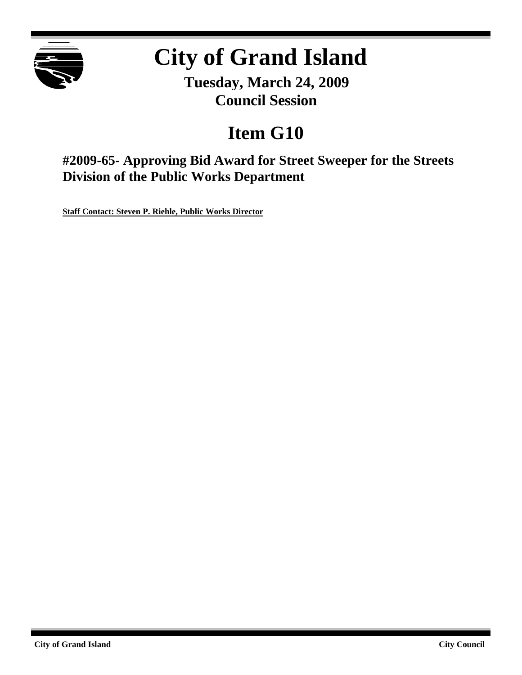

# **City of Grand Island**

**Tuesday, March 24, 2009 Council Session**

## **Item G10**

**#2009-65- Approving Bid Award for Street Sweeper for the Streets Division of the Public Works Department**

**Staff Contact: Steven P. Riehle, Public Works Director**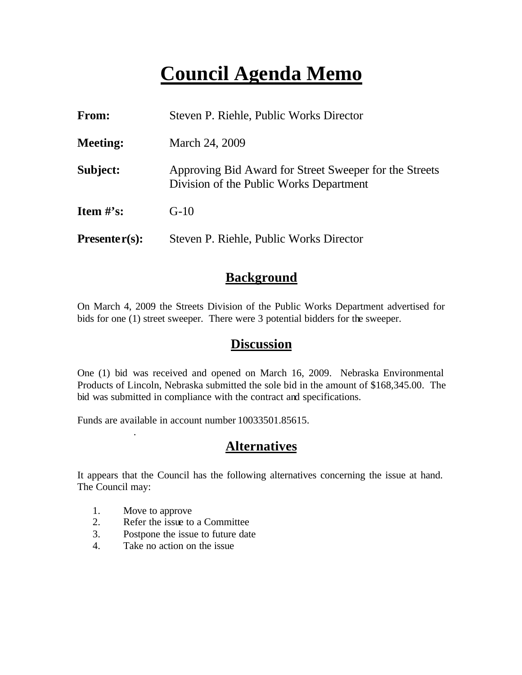## **Council Agenda Memo**

| From:           | Steven P. Riehle, Public Works Director                                                           |  |
|-----------------|---------------------------------------------------------------------------------------------------|--|
| <b>Meeting:</b> | March 24, 2009                                                                                    |  |
| Subject:        | Approving Bid Award for Street Sweeper for the Streets<br>Division of the Public Works Department |  |
| Item $\#$ 's:   | $G-10$                                                                                            |  |
| $Presenter(s):$ | Steven P. Riehle, Public Works Director                                                           |  |

## **Background**

On March 4, 2009 the Streets Division of the Public Works Department advertised for bids for one (1) street sweeper. There were 3 potential bidders for the sweeper.

### **Discussion**

One (1) bid was received and opened on March 16, 2009. Nebraska Environmental Products of Lincoln, Nebraska submitted the sole bid in the amount of \$168,345.00. The bid was submitted in compliance with the contract and specifications.

Funds are available in account number 10033501.85615.

## **Alternatives**

It appears that the Council has the following alternatives concerning the issue at hand. The Council may:

1. Move to approve

.

- 2. Refer the issue to a Committee
- 3. Postpone the issue to future date
- 4. Take no action on the issue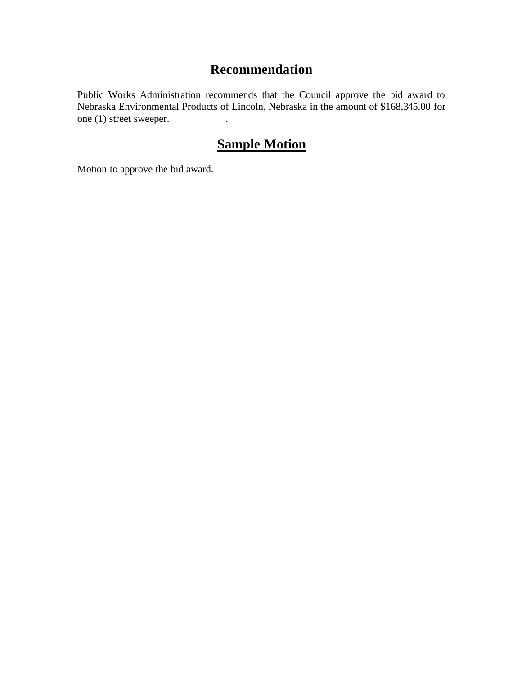## **Recommendation**

Public Works Administration recommends that the Council approve the bid award to Nebraska Environmental Products of Lincoln, Nebraska in the amount of \$168,345.00 for one (1) street sweeper.

## **Sample Motion**

Motion to approve the bid award.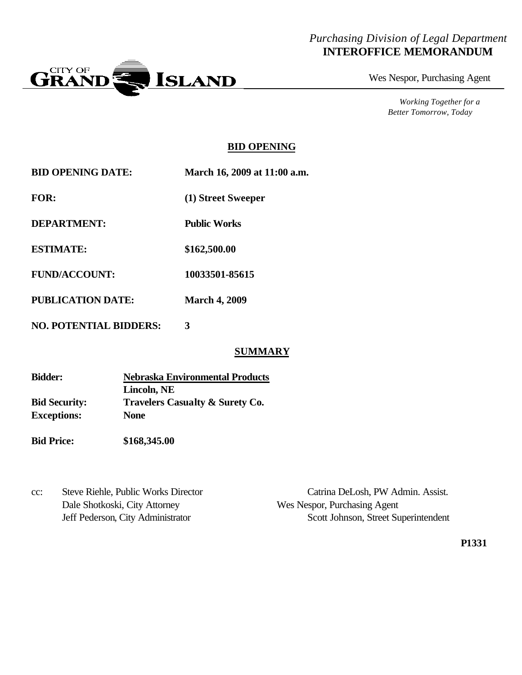### *Purchasing Division of Legal Department* **INTEROFFICE MEMORANDUM**



Wes Nespor, Purchasing Agent

*Working Together for a Better Tomorrow, Today*

#### **BID OPENING**

| <b>BID OPENING DATE:</b> | March 16, 2009 at 11:00 a.m. |
|--------------------------|------------------------------|
| <b>FOR:</b>              | (1) Street Sweeper           |
| DEPARTMENT:              | <b>Public Works</b>          |
| <b>ESTIMATE:</b>         | \$162,500.00                 |
| <b>FUND/ACCOUNT:</b>     | 10033501-85615               |
| PUBLICATION DATE:        | <b>March 4, 2009</b>         |
|                          |                              |

**NO. POTENTIAL BIDDERS: 3**

#### **SUMMARY**

| <b>Bidder:</b>       | <b>Nebraska Environmental Products</b>     |  |
|----------------------|--------------------------------------------|--|
|                      | Lincoln, NE                                |  |
| <b>Bid Security:</b> | <b>Travelers Casualty &amp; Surety Co.</b> |  |
| <b>Exceptions:</b>   | <b>None</b>                                |  |

**Bid Price: \$168,345.00**

cc: Steve Riehle, Public Works Director Catrina DeLosh, PW Admin. Assist. Dale Shotkoski, City Attorney Wes Nespor, Purchasing Agent

Jeff Pederson, City Administrator Scott Johnson, Street Superintendent

**P1331**